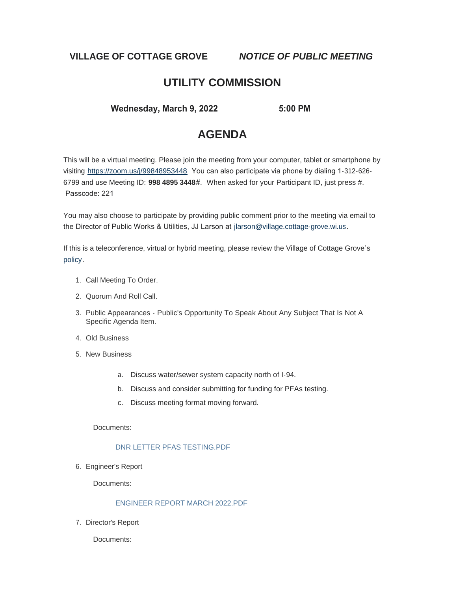**VILLAGE OF COTTAGE GROVE** *NOTICE OF PUBLIC MEETING*

## **UTILITY COMMISSION**

 **Wednesday, March 9, 2022 5:00 PM** 

# **AGENDA**

This will be a virtual meeting. Please join the meeting from your computer, tablet or smartphone by visiting <https://zoom.us/j/99848953448> You can also participate via phone by dialing 1-312-626- 6799 and use Meeting ID: **998 4895 3448**#. When asked for your Participant ID, just press #. Passcode: 221

You may also choose to participate by providing public comment prior to the meeting via email to the Director of Public Works & Utilities, JJ Larson at [jlarson@village.cottage-grove.wi.us](mailto:jlarson@village.cottage-grove.wi.us).

If this is a teleconference, virtual or hybrid meeting, please review the Village of Cottage Grove's [policy](https://www.vi.cottagegrove.wi.gov/DocumentCenter/View/1850/Virtual-Hybrid-Tele-meeting-Policy-Final).

- 1. Call Meeting To Order.
- 2. Quorum And Roll Call.
- 3. Public Appearances Public's Opportunity To Speak About Any Subject That Is Not A Specific Agenda Item.
- Old Business 4.
- 5. New Business
	- a. Discuss water/sewer system capacity north of I-94.
	- b. Discuss and consider submitting for funding for PFAs testing.
	- c. Discuss meeting format moving forward.

Documents:

## [DNR LETTER PFAS TESTING.PDF](https://www.vi.cottagegrove.wi.gov/AgendaCenter/ViewFile/Item/9656?fileID=19182)

6. Engineer's Report

Documents:

## [ENGINEER REPORT MARCH 2022.PDF](https://www.vi.cottagegrove.wi.gov/AgendaCenter/ViewFile/Item/9651?fileID=19175)

7. Director's Report

Documents: